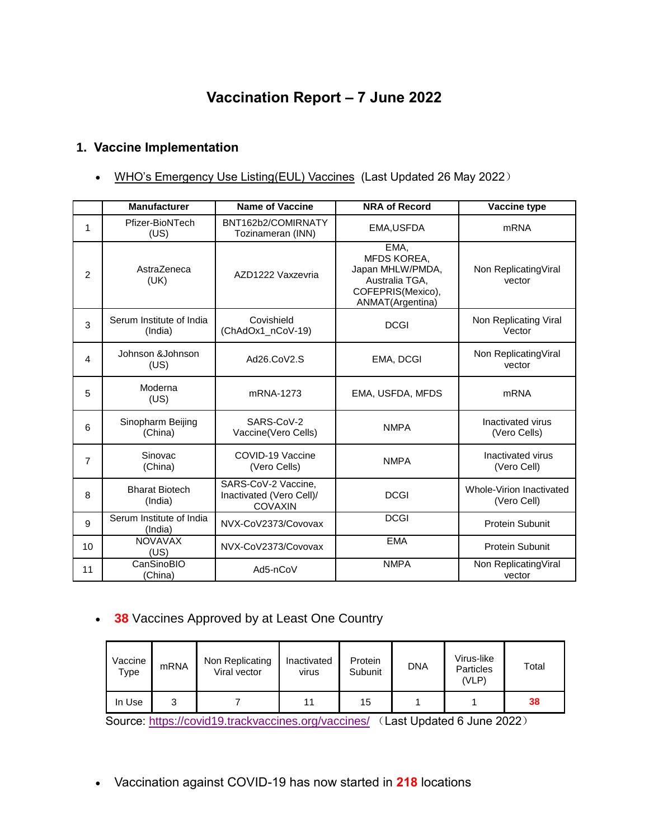# **Vaccination Report – 7 June 2022**

# **1. Vaccine Implementation**

• [WHO's Emergency Use Listing\(EUL\) Vaccines](https://extranet.who.int/pqweb/sites/default/files/documents/Status_COVID_VAX_26May2022.pdf) (Last Updated 26 May 2022)

|                | <b>Manufacturer</b>                 | <b>Name of Vaccine</b>                                            | <b>NRA of Record</b>                                                                                      | Vaccine type                                   |
|----------------|-------------------------------------|-------------------------------------------------------------------|-----------------------------------------------------------------------------------------------------------|------------------------------------------------|
| 1              | Pfizer-BioNTech<br>(US)             | BNT162b2/COMIRNATY<br>Tozinameran (INN)                           | EMA, USFDA                                                                                                | <b>mRNA</b>                                    |
| $\overline{2}$ | AstraZeneca<br>(UK)                 | AZD1222 Vaxzevria                                                 | EMA,<br><b>MFDS KOREA,</b><br>Japan MHLW/PMDA,<br>Australia TGA.<br>COFEPRIS(Mexico),<br>ANMAT(Argentina) | Non ReplicatingViral<br>vector                 |
| 3              | Serum Institute of India<br>(India) | Covishield<br>(ChAdOx1_nCoV-19)                                   | <b>DCGI</b>                                                                                               | Non Replicating Viral<br>Vector                |
| $\overline{4}$ | Johnson & Johnson<br>(US)           | Ad26.CoV2.S                                                       | EMA, DCGI                                                                                                 | Non ReplicatingViral<br>vector                 |
| 5              | Moderna<br>(US)                     | mRNA-1273                                                         | EMA, USFDA, MFDS                                                                                          | m <sub>RNA</sub>                               |
| 6              | Sinopharm Beijing<br>(China)        | SARS-CoV-2<br>Vaccine(Vero Cells)                                 | <b>NMPA</b>                                                                                               | Inactivated virus<br>(Vero Cells)              |
| 7              | Sinovac<br>(China)                  | COVID-19 Vaccine<br>(Vero Cells)                                  | <b>NMPA</b>                                                                                               | Inactivated virus<br>(Vero Cell)               |
| 8              | <b>Bharat Biotech</b><br>(India)    | SARS-CoV-2 Vaccine,<br>Inactivated (Vero Cell)/<br><b>COVAXIN</b> | <b>DCGI</b>                                                                                               | <b>Whole-Virion Inactivated</b><br>(Vero Cell) |
| 9              | Serum Institute of India<br>(India) | NVX-CoV2373/Covovax                                               | <b>DCGI</b>                                                                                               | <b>Protein Subunit</b>                         |
| 10             | <b>NOVAVAX</b><br>(US)              | NVX-CoV2373/Covovax                                               | <b>EMA</b>                                                                                                | <b>Protein Subunit</b>                         |
| 11             | CanSinoBIO<br>(China)               | Ad5-nCoV                                                          | <b>NMPA</b>                                                                                               | Non ReplicatingViral<br>vector                 |

# **38** Vaccines Approved by at Least One Country

| Vaccine<br>Туре | m <sub>RNA</sub> | Non Replicating<br>Viral vector | Inactivated<br><b>Virus</b> | Protein<br>Subunit | <b>DNA</b> | Virus-like<br><b>Particles</b><br>(VLP) | Total |
|-----------------|------------------|---------------------------------|-----------------------------|--------------------|------------|-----------------------------------------|-------|
| In Use          | ື                |                                 |                             | 15                 |            |                                         | 38    |

Source:<https://covid19.trackvaccines.org/vaccines/> (Last Updated 6 June 2022)

Vaccination against COVID-19 has now started in **218** locations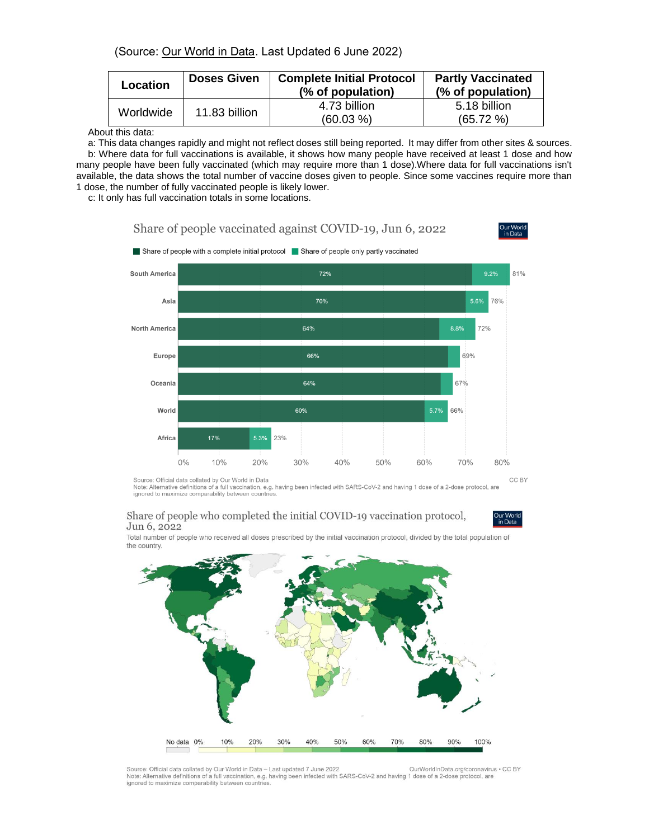### (Source: [Our World in Data.](https://ourworldindata.org/covid-vaccinations) Last Updated 6 June 2022)

| Location  | <b>Doses Given</b> | <b>Complete Initial Protocol</b><br>(% of population) | <b>Partly Vaccinated</b><br>(% of population) |
|-----------|--------------------|-------------------------------------------------------|-----------------------------------------------|
| Worldwide | 11.83 billion      | 4.73 billion<br>$(60.03\% )$                          | 5.18 billion<br>$(65.72\% )$                  |

About this data:

a: This data changes rapidly and might not reflect doses still being reported. It may differ from other sites & sources. b: Where data for full vaccinations is available, it shows how many people have received at least 1 dose and how many people have been fully vaccinated (which may require more than 1 dose).Where data for full vaccinations isn't available, the data shows the total number of vaccine doses given to people. Since some vaccines require more than 1 dose, the number of fully vaccinated people is likely lower.

c: It only has full vaccination totals in some locations.





Source: Official data collated by Our World in Data<br>Note: Alternative definitions of a full vaccination, e.g. having been infected with SARS-CoV-2 and having 1 dose of a 2-dose protocol, are CC BY ignored to maximize comparability between countries

#### Share of people who completed the initial COVID-19 vaccination protocol, Jun 6, 2022



Total number of people who received all doses prescribed by the initial vaccination protocol, divided by the total population of the country.



Source: Official data collated by Our World in Data - Last updated 7 June 2022 OurWorldInData.org/coronavirus . CC BY Note: Alternative definitions of a full vaccination, e.g. having been infected with SARS-CoV-2 and having 1 dose of a 2-dose protocol, are ignored to maximize comparability between countries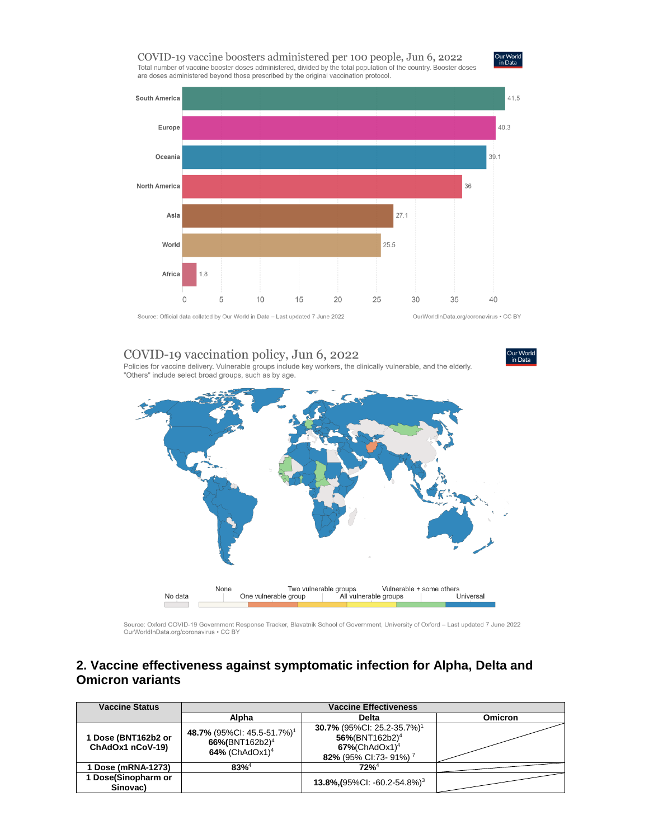#### COVID-19 vaccine boosters administered per 100 people, Jun 6, 2022 Total number of vaccine booster doses administered, divided by the total population of the country. Booster doses are doses administered beyond those prescribed by the original vaccination protocol.





### COVID-19 vaccination policy, Jun 6, 2022

Policies for vaccine delivery. Vulnerable groups include key workers, the clinically vulnerable, and the elderly. "Others" include select broad groups, such as by age.



Source: Oxford COVID-19 Government Response Tracker, Blavatnik School of Government, University of Oxford - Last updated 7 June 2022 OurWorldInData.org/coronavirus . CC BY

### 2. Vaccine effectiveness against symptomatic infection for Alpha, Delta and **Omicron variants**

| <b>Vaccine Status</b>                   |                                                                                                    |                                                                                                                                                |                |
|-----------------------------------------|----------------------------------------------------------------------------------------------------|------------------------------------------------------------------------------------------------------------------------------------------------|----------------|
|                                         | Alpha                                                                                              | <b>Delta</b>                                                                                                                                   | <b>Omicron</b> |
| 1 Dose (BNT162b2 or<br>ChAdOx1 nCoV-19) | 48.7% (95%CI: 45.5-51.7%) <sup>1</sup><br>66%(BNT162b2) <sup>4</sup><br>64% (ChAdOx1) <sup>4</sup> | 30.7% (95%Cl: 25.2-35.7%) <sup>1</sup><br>$56\%$ (BNT162b2) <sup>4</sup><br>$67\%$ (ChAdOx1) <sup>4</sup><br>82% (95% CI:73- 91%) <sup>7</sup> |                |
| Dose (mRNA-1273)                        | $83%^{4}$                                                                                          | $72%^{4}$                                                                                                                                      |                |
| Dose(Sinopharm or<br>Sinovac)           |                                                                                                    | 13.8%, $(95\%$ CI: -60.2-54.8%) <sup>3</sup>                                                                                                   |                |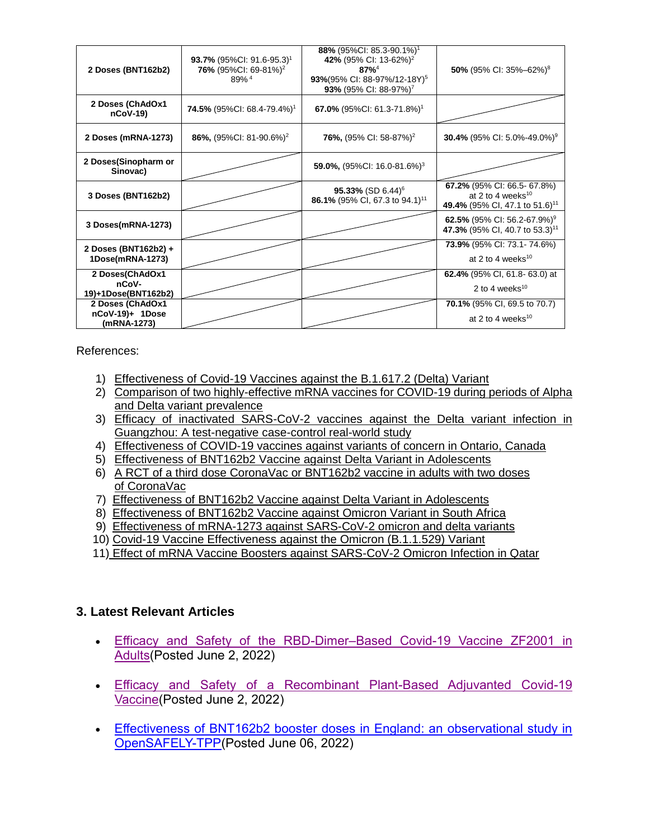| 2 Doses (BNT162b2)                                 | <b>93.7%</b> (95%Cl: 91.6-95.3) <sup>1</sup><br>76% (95%CI: 69-81%) <sup>2</sup><br>$89%$ <sup>4</sup> | 88% (95%CI: 85.3-90.1%) <sup>1</sup><br>42% (95% CI: 13-62%) <sup>2</sup><br>$87%^{4}$<br>93%(95% CI: 88-97%/12-18Y) <sup>5</sup><br>93% (95% CI: 88-97%) <sup>7</sup> | 50% (95% CI: 35%-62%) <sup>8</sup>                                                                         |
|----------------------------------------------------|--------------------------------------------------------------------------------------------------------|------------------------------------------------------------------------------------------------------------------------------------------------------------------------|------------------------------------------------------------------------------------------------------------|
| 2 Doses (ChAdOx1<br>$nCoV-19$                      | <b>74.5%</b> (95%CI: 68.4-79.4%) <sup>1</sup>                                                          | 67.0% (95%CI: 61.3-71.8%) <sup>1</sup>                                                                                                                                 |                                                                                                            |
| 2 Doses (mRNA-1273)                                | 86%, $(95\%$ CI: 81-90.6%) <sup>2</sup>                                                                | <b>76%,</b> (95% CI: 58-87%) <sup>2</sup>                                                                                                                              | 30.4% (95% CI: 5.0%-49.0%) <sup>9</sup>                                                                    |
| 2 Doses(Sinopharm or<br>Sinovac)                   |                                                                                                        | 59.0%, $(95\%$ CI: 16.0-81.6%) <sup>3</sup>                                                                                                                            |                                                                                                            |
| 3 Doses (BNT162b2)                                 |                                                                                                        | 95.33% (SD 6.44) <sup>6</sup><br>86.1% (95% CI, 67.3 to 94.1) <sup>11</sup>                                                                                            | 67.2% (95% CI: 66.5- 67.8%)<br>at 2 to 4 weeks <sup>10</sup><br>49.4% (95% CI, 47.1 to 51.6) <sup>11</sup> |
| 3 Doses(mRNA-1273)                                 |                                                                                                        |                                                                                                                                                                        | 62.5% (95% Cl: 56.2-67.9%) <sup>9</sup><br>47.3% (95% CI, 40.7 to 53.3) <sup>11</sup>                      |
| 2 Doses (BNT162b2) +<br>1Dose(mRNA-1273)           |                                                                                                        |                                                                                                                                                                        | <b>73.9%</b> (95% CI: 73.1-74.6%)<br>at 2 to 4 weeks <sup>10</sup>                                         |
| 2 Doses(ChAdOx1<br>nCoV-<br>19)+1Dose(BNT162b2)    |                                                                                                        |                                                                                                                                                                        | <b>62.4%</b> (95% CI, 61.8-63.0) at<br>2 to 4 weeks <sup>10</sup>                                          |
| 2 Doses (ChAdOx1<br>nCoV-19)+ 1Dose<br>(mRNA-1273) |                                                                                                        |                                                                                                                                                                        | <b>70.1%</b> (95% CI, 69.5 to 70.7)<br>at 2 to 4 weeks <sup>10</sup>                                       |

References:

- 1) [Effectiveness of Covid-19 Vaccines against the B.1.617.2 \(Delta\) Variant](https://www.nejm.org/doi/pdf/10.1056/NEJMoa2108891?articleTools=true)
- 2) [Comparison of two highly-effective mRNA vaccines for COVID-19 during periods of Alpha](https://www.medrxiv.org/content/10.1101/2021.08.06.21261707v1.full.pdf)  [and Delta variant prevalence](https://www.medrxiv.org/content/10.1101/2021.08.06.21261707v1.full.pdf)
- 3) [Efficacy of inactivated SARS-CoV-2 vaccines against the Delta variant infection in](https://www.tandfonline.com/doi/full/10.1080/22221751.2021.1969291)  [Guangzhou: A test-negative case-control real-world study](https://www.tandfonline.com/doi/full/10.1080/22221751.2021.1969291)
- 4) [Effectiveness of COVID-19 vaccines against variants of concern in Ontario, Canada](https://www.medrxiv.org/content/10.1101/2021.06.28.21259420v2.full.pdf)
- 5) [Effectiveness of BNT162b2 Vaccine against](https://www.nejm.org/doi/pdf/10.1056/NEJMc2114290?articleTools=true) Delta Variant in Adolescents
- 6) [A RCT of a third dose CoronaVac or BNT162b2 vaccine in adults with two doses](https://www.medrxiv.org/content/10.1101/2021.11.02.21265843v1.full.pdf)  [of CoronaVac](https://www.medrxiv.org/content/10.1101/2021.11.02.21265843v1.full.pdf)
- 7) [Effectiveness of BNT162b2 Vaccine against Delta Variant in Adolescents](https://www.nejm.org/doi/full/10.1056/NEJMc2114290?query=featured_home)
- 8) [Effectiveness of BNT162b2 Vaccine against Omicron Variant in South Africa](https://www.nejm.org/doi/full/10.1056/NEJMc2119270)
- 9) [Effectiveness of mRNA-1273 against SARS-CoV-2 omicron and delta variants](https://www.medrxiv.org/content/10.1101/2022.01.07.22268919v1)
- 10) [Covid-19 Vaccine Effectiveness against the Omicron \(B.1.1.529\) Variant](https://www.nejm.org/doi/full/10.1056/NEJMoa2119451?query=featured_home)
- 11) [Effect of mRNA Vaccine Boosters against SARS-CoV-2](https://www.nejm.org/doi/full/10.1056/NEJMoa2200797) Omicron Infection in Qatar

# **3. Latest Relevant Articles**

- Efficacy and Safety of the RBD-Dimer–Based Covid-19 Vaccine ZF2001 in [Adults\(](https://www.nejm.org/doi/full/10.1056/NEJMoa2202261?query=featured_home)Posted June 2, 2022)
- [Efficacy and Safety of a Recombinant Plant-Based Adjuvanted Covid-19](https://www.nejm.org/doi/full/10.1056/NEJMoa2201300?query=featured_home)  [Vaccine\(](https://www.nejm.org/doi/full/10.1056/NEJMoa2201300?query=featured_home)Posted June 2, 2022)
- [Effectiveness of BNT162b2 booster doses in England: an observational study in](https://www.medrxiv.org/content/10.1101/2022.06.06.22276026v1)  [OpenSAFELY-TPP\(](https://www.medrxiv.org/content/10.1101/2022.06.06.22276026v1)Posted June 06, 2022)